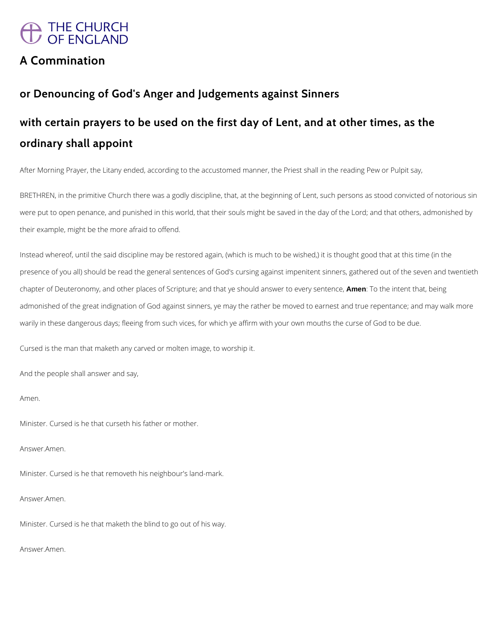# THE CHURCH<br>OF ENGLAND

# **A Commination**

# **or Denouncing of God's Anger and Judgements against Sinners**

# **with certain prayers to be used on the first day of Lent, and at other times, as the ordinary shall appoint**

After Morning Prayer, the Litany ended, according to the accustomed manner, the Priest shall in the reading Pew or Pulpit say,

BRETHREN, in the primitive Church there was a godly discipline, that, at the beginning of Lent, such persons as stood convicted of notorious sin were put to open penance, and punished in this world, that their souls might be saved in the day of the Lord; and that others, admonished by their example, might be the more afraid to offend.

Instead whereof, until the said discipline may be restored again, (which is much to be wished,) it is thought good that at this time (in the presence of you all) should be read the general sentences of God's cursing against impenitent sinners, gathered out of the seven and twentieth chapter of Deuteronomy, and other places of Scripture; and that ye should answer to every sentence, **Amen**: To the intent that, being admonished of the great indignation of God against sinners, ye may the rather be moved to earnest and true repentance; and may walk more warily in these dangerous days; fleeing from such vices, for which ye affirm with your own mouths the curse of God to be due.

Cursed is the man that maketh any carved or molten image, to worship it.

And the people shall answer and say,

Amen.

Minister. Cursed is he that curseth his father or mother.

Answer.Amen.

Minister. Cursed is he that removeth his neighbour's land-mark.

Answer.Amen.

Minister. Cursed is he that maketh the blind to go out of his way.

Answer.Amen.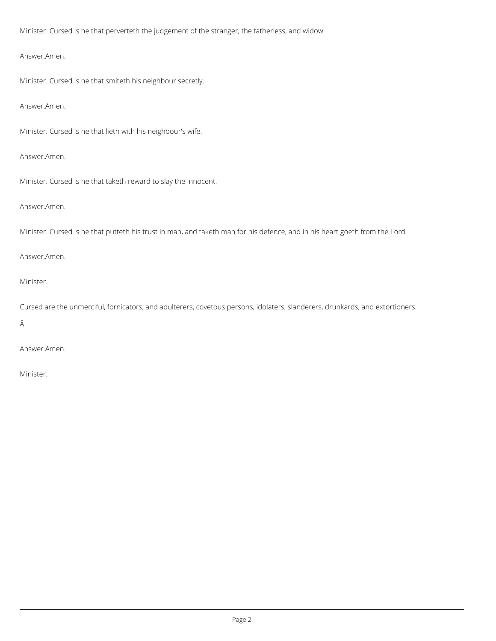Minister. Cursed is he that perverteth the judgement of the stranger, the fatherless, and widow.

Answer.Amen.

Minister. Cursed is he that smiteth his neighbour secretly.

Answer.Amen.

Minister. Cursed is he that lieth with his neighbour's wife.

Answer.Amen.

Minister. Cursed is he that taketh reward to slay the innocent.

Answer.Amen.

Minister. Cursed is he that putteth his trust in man, and taketh man for his defence, and in his heart goeth from the Lord.

Answer.Amen.

Minister.

Cursed are the unmerciful, fornicators, and adulterers, covetous persons, idolaters, slanderers, drunkards, and extortioners.

Â

Answer.Amen.

Minister.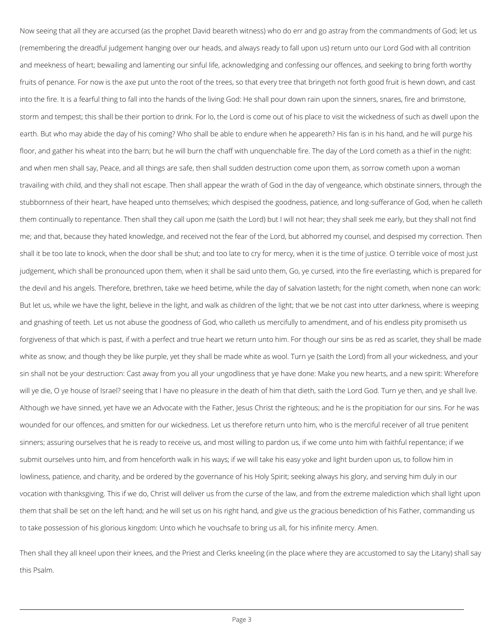Now seeing that all they are accursed (as the prophet David beareth witness) who do err and go astray from the commandments of God; let us (remembering the dreadful judgement hanging over our heads, and always ready to fall upon us) return unto our Lord God with all contrition and meekness of heart; bewailing and lamenting our sinful life, acknowledging and confessing our offences, and seeking to bring forth worthy fruits of penance. For now is the axe put unto the root of the trees, so that every tree that bringeth not forth good fruit is hewn down, and cast into the fire. It is a fearful thing to fall into the hands of the living God: He shall pour down rain upon the sinners, snares, fire and brimstone, storm and tempest; this shall be their portion to drink. For lo, the Lord is come out of his place to visit the wickedness of such as dwell upon the earth. But who may abide the day of his coming? Who shall be able to endure when he appeareth? His fan is in his hand, and he will purge his floor, and gather his wheat into the barn; but he will burn the chaff with unquenchable fire. The day of the Lord cometh as a thief in the night: and when men shall say, Peace, and all things are safe, then shall sudden destruction come upon them, as sorrow cometh upon a woman travailing with child, and they shall not escape. Then shall appear the wrath of God in the day of vengeance, which obstinate sinners, through the stubbornness of their heart, have heaped unto themselves; which despised the goodness, patience, and long-sufferance of God, when he calleth them continually to repentance. Then shall they call upon me (saith the Lord) but I will not hear; they shall seek me early, but they shall not find me; and that, because they hated knowledge, and received not the fear of the Lord, but abhorred my counsel, and despised my correction. Then shall it be too late to knock, when the door shall be shut; and too late to cry for mercy, when it is the time of justice. O terrible voice of most just judgement, which shall be pronounced upon them, when it shall be said unto them, Go, ye cursed, into the fire everlasting, which is prepared for the devil and his angels. Therefore, brethren, take we heed betime, while the day of salvation lasteth; for the night cometh, when none can work: But let us, while we have the light, believe in the light, and walk as children of the light; that we be not cast into utter darkness, where is weeping and gnashing of teeth. Let us not abuse the goodness of God, who calleth us mercifully to amendment, and of his endless pity promiseth us forgiveness of that which is past, if with a perfect and true heart we return unto him. For though our sins be as red as scarlet, they shall be made white as snow; and though they be like purple, yet they shall be made white as wool. Turn ye (saith the Lord) from all your wickedness, and your sin shall not be your destruction: Cast away from you all your ungodliness that ye have done: Make you new hearts, and a new spirit: Wherefore will ye die, O ye house of Israel? seeing that I have no pleasure in the death of him that dieth, saith the Lord God. Turn ye then, and ye shall live. Although we have sinned, yet have we an Advocate with the Father, Jesus Christ the righteous; and he is the propitiation for our sins. For he was wounded for our offences, and smitten for our wickedness. Let us therefore return unto him, who is the merciful receiver of all true penitent sinners; assuring ourselves that he is ready to receive us, and most willing to pardon us, if we come unto him with faithful repentance; if we submit ourselves unto him, and from henceforth walk in his ways; if we will take his easy yoke and light burden upon us, to follow him in

lowliness, patience, and charity, and be ordered by the governance of his Holy Spirit; seeking always his glory, and serving him duly in our

vocation with thanksgiving. This if we do, Christ will deliver us from the curse of the law, and from the extreme malediction which shall light upon

them that shall be set on the left hand; and he will set us on his right hand, and give us the gracious benediction of his Father, commanding us

to take possession of his glorious kingdom: Unto which he vouchsafe to bring us all, for his infinite mercy. Amen.

Then shall they all kneel upon their knees, and the Priest and Clerks kneeling (in the place where they are accustomed to say the Litany) shall say this Psalm.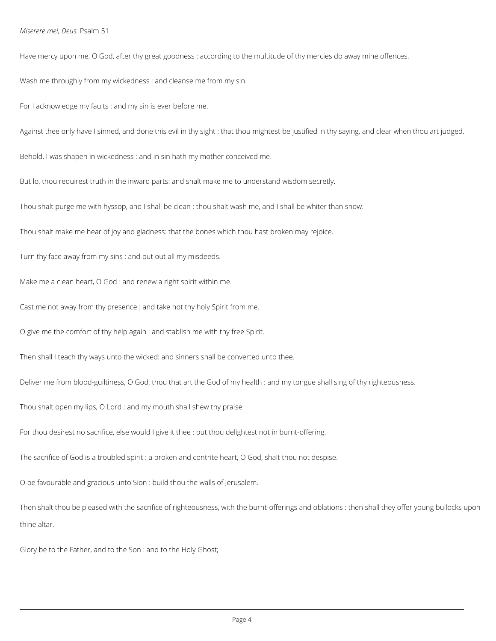### *Miserere mei, Deus.* Psalm 51

Have mercy upon me, O God, after thy great goodness : according to the multitude of thy mercies do away mine offences.

Wash me throughly from my wickedness : and cleanse me from my sin.

For I acknowledge my faults : and my sin is ever before me.

Against thee only have I sinned, and done this evil in thy sight : that thou mightest be justified in thy saying, and clear when thou art judged.

Behold, I was shapen in wickedness : and in sin hath my mother conceived me.

But lo, thou requirest truth in the inward parts: and shalt make me to understand wisdom secretly.

Thou shalt purge me with hyssop, and I shall be clean : thou shalt wash me, and I shall be whiter than snow.

Thou shalt make me hear of joy and gladness: that the bones which thou hast broken may rejoice.

Turn thy face away from my sins : and put out all my misdeeds.

Make me a clean heart, O God : and renew a right spirit within me.

Cast me not away from thy presence : and take not thy holy Spirit from me.

O give me the comfort of thy help again : and stablish me with thy free Spirit.

Then shall I teach thy ways unto the wicked: and sinners shall be converted unto thee.

Deliver me from blood-guiltiness, O God, thou that art the God of my health : and my tongue shall sing of thy righteousness.

Thou shalt open my lips, O Lord : and my mouth shall shew thy praise.

For thou desirest no sacrifice, else would I give it thee : but thou delightest not in burnt-offering.

The sacrifice of God is a troubled spirit : a broken and contrite heart, O God, shalt thou not despise.

Then shalt thou be pleased with the sacrifice of righteousness, with the burnt-offerings and oblations : then shall they offer young bullocks upon

thine altar.

Glory be to the Father, and to the Son : and to the Holy Ghost;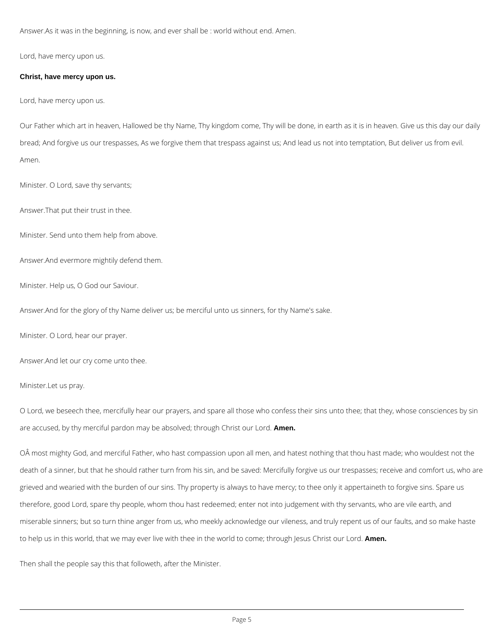Answer.As it was in the beginning, is now, and ever shall be : world without end. Amen.

Lord, have mercy upon us.

## **Christ, have mercy upon us.**

Lord, have mercy upon us.

Our Father which art in heaven, Hallowed be thy Name, Thy kingdom come, Thy will be done, in earth as it is in heaven. Give us this day our daily bread; And forgive us our trespasses, As we forgive them that trespass against us; And lead us not into temptation, But deliver us from evil. Amen.

Minister. O Lord, save thy servants;

Answer.That put their trust in thee.

Minister. Send unto them help from above.

Answer.And evermore mightily defend them.

Minister. Help us, O God our Saviour.

Answer.And for the glory of thy Name deliver us; be merciful unto us sinners, for thy Name's sake.

Minister. O Lord, hear our prayer.

Answer.And let our cry come unto thee.

Minister.Let us pray.

O Lord, we beseech thee, mercifully hear our prayers, and spare all those who confess their sins unto thee; that they, whose consciences by sin are accused, by thy merciful pardon may be absolved; through Christ our Lord. **Amen.**

OÂ most mighty God, and merciful Father, who hast compassion upon all men, and hatest nothing that thou hast made; who wouldest not the death of a sinner, but that he should rather turn from his sin, and be saved: Mercifully forgive us our trespasses; receive and comfort us, who are

grieved and wearied with the burden of our sins. Thy property is always to have mercy; to thee only it appertaineth to forgive sins. Spare us

therefore, good Lord, spare thy people, whom thou hast redeemed; enter not into judgement with thy servants, who are vile earth, and

miserable sinners; but so turn thine anger from us, who meekly acknowledge our vileness, and truly repent us of our faults, and so make haste

to help us in this world, that we may ever live with thee in the world to come; through Jesus Christ our Lord. **Amen.**

Then shall the people say this that followeth, after the Minister.